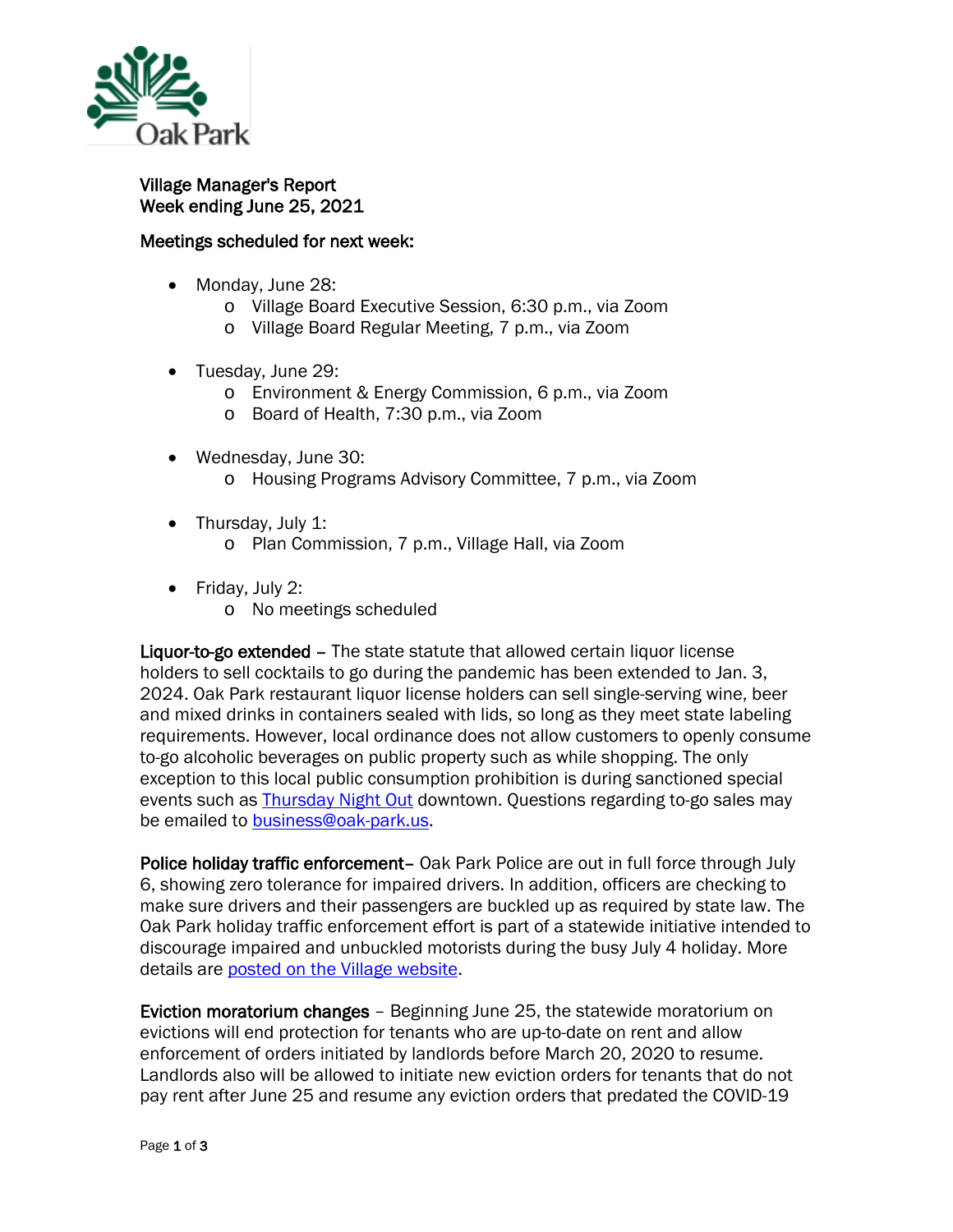

Village Manager's Report Week ending June 25, 2021

## Meetings scheduled for next week:

- Monday, June 28:
	- o Village Board Executive Session, 6:30 p.m., via Zoom
	- o Village Board Regular Meeting, 7 p.m., via Zoom
- Tuesday, June 29:
	- o Environment & Energy Commission, 6 p.m., via Zoom
	- o Board of Health, 7:30 p.m., via Zoom
- Wednesday, June 30: o Housing Programs Advisory Committee, 7 p.m., via Zoom
- Thursday, July 1:
	- o Plan Commission, 7 p.m., Village Hall, via Zoom
- Friday, July 2:
	- o No meetings scheduled

Liquor-to-go extended – The state statute that allowed certain liquor license holders to sell cocktails to go during the pandemic has been extended to Jan. 3, 2024. Oak Park restaurant liquor license holders can sell single-serving wine, beer and mixed drinks in containers sealed with lids, so long as they meet state labeling requirements. However, local ordinance does not allow customers to openly consume to-go alcoholic beverages on public property such as while shopping. The only exception to this local public consumption prohibition is during sanctioned special events such as [Thursday Night Out](https://thursdaynightout.com/) downtown. Questions regarding to-go sales may be emailed to **business@oak-park.us**.

Police holiday traffic enforcement- Oak Park Police are out in full force through July 6, showing zero tolerance for impaired drivers. In addition, officers are checking to make sure drivers and their passengers are buckled up as required by state law. The Oak Park holiday traffic enforcement effort is part of a statewide initiative intended to discourage impaired and unbuckled motorists during the busy July 4 holiday. More details are posted on [the Village website.](https://www.oak-park.us/news/oak-park-police-cracking-down-impaired-drivers-seat-belt-law-violators)

Eviction moratorium changes – Beginning June 25, the statewide moratorium on evictions will end protection for tenants who are up-to-date on rent and allow enforcement of orders initiated by landlords before March 20, 2020 to resume. Landlords also will be allowed to initiate new eviction orders for tenants that do not pay rent after June 25 and resume any eviction orders that predated the COVID-19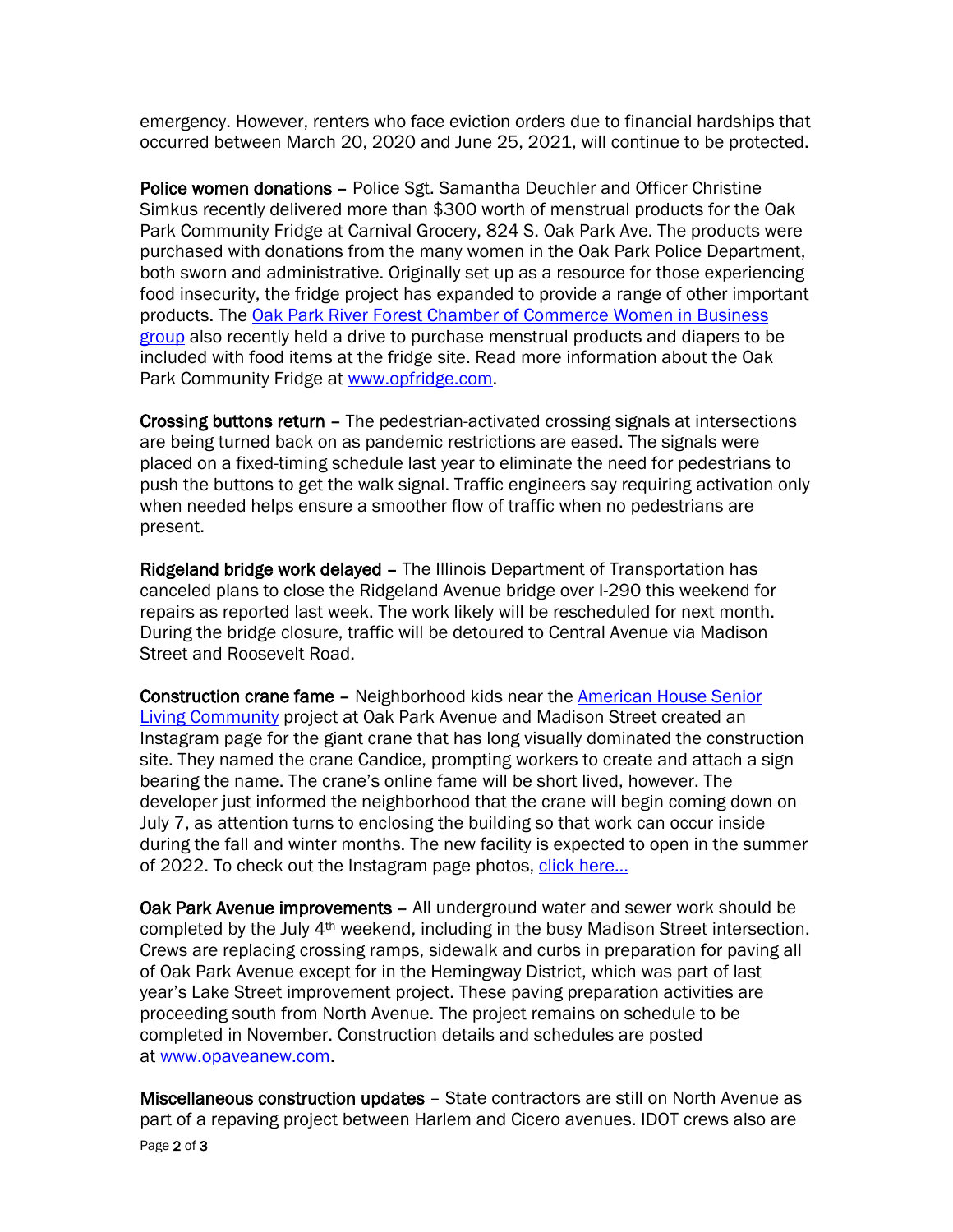emergency. However, renters who face eviction orders due to financial hardships that occurred between March 20, 2020 and June 25, 2021, will continue to be protected.

Police women donations – Police Sgt. Samantha Deuchler and Officer Christine Simkus recently delivered more than \$300 worth of menstrual products for the Oak Park Community Fridge at Carnival Grocery, 824 S. Oak Park Ave. The products were purchased with donations from the many women in the Oak Park Police Department, both sworn and administrative. Originally set up as a resource for those experiencing food insecurity, the fridge project has expanded to provide a range of other important products. The [Oak Park River Forest Chamber of Commerce Women in Business](https://www.oprfchamber.org/groups-women-in-business)  [group](https://www.oprfchamber.org/groups-women-in-business) also recently held a drive to purchase menstrual products and diapers to be included with food items at the fridge site. Read more information about the Oak Park Community Fridge at [www.opfridge.com.](http://www.opfridge.com/)

Crossing buttons return – The pedestrian-activated crossing signals at intersections are being turned back on as pandemic restrictions are eased. The signals were placed on a fixed-timing schedule last year to eliminate the need for pedestrians to push the buttons to get the walk signal. Traffic engineers say requiring activation only when needed helps ensure a smoother flow of traffic when no pedestrians are present.

Ridgeland bridge work delayed – The Illinois Department of Transportation has canceled plans to close the Ridgeland Avenue bridge over I-290 this weekend for repairs as reported last week. The work likely will be rescheduled for next month. During the bridge closure, traffic will be detoured to Central Avenue via Madison Street and Roosevelt Road.

Construction crane fame – Neighborhood kids near the [American House Senior](https://www.americanhouse.com/oak-park)  [Living Community](https://www.americanhouse.com/oak-park) project at Oak Park Avenue and Madison Street created an Instagram page for the giant crane that has long visually dominated the construction site. They named the crane Candice, prompting workers to create and attach a sign bearing the name. The crane's online fame will be short lived, however. The developer just informed the neighborhood that the crane will begin coming down on July 7, as attention turns to enclosing the building so that work can occur inside during the fall and winter months. The new facility is expected to open in the summer of 2022. To check out the Instagram page photos, click here...

Oak Park Avenue improvements – All underground water and sewer work should be completed by the July 4th weekend, including in the busy Madison Street intersection. Crews are replacing crossing ramps, sidewalk and curbs in preparation for paving all of Oak Park Avenue except for in the Hemingway District, which was part of last year's Lake Street improvement project. These paving preparation activities are proceeding south from North Avenue. The project remains on schedule to be completed in November. Construction details and schedules are posted at [www.opaveanew.com.](http://www.opaveanew.com/)

Page 2 of 3 Miscellaneous construction updates – State contractors are still on North Avenue as part of a repaving project between Harlem and Cicero avenues. IDOT crews also are